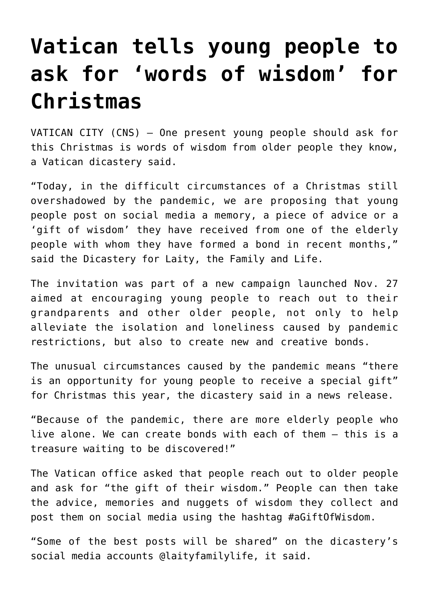## **[Vatican tells young people to](https://www.osvnews.com/2020/11/30/vatican-tells-young-people-to-ask-for-words-of-wisdom-for-christmas/) [ask for 'words of wisdom' for](https://www.osvnews.com/2020/11/30/vatican-tells-young-people-to-ask-for-words-of-wisdom-for-christmas/) [Christmas](https://www.osvnews.com/2020/11/30/vatican-tells-young-people-to-ask-for-words-of-wisdom-for-christmas/)**

VATICAN CITY (CNS) — One present young people should ask for this Christmas is words of wisdom from older people they know, a Vatican dicastery said.

"Today, in the difficult circumstances of a Christmas still overshadowed by the pandemic, we are proposing that young people post on social media a memory, a piece of advice or a 'gift of wisdom' they have received from one of the elderly people with whom they have formed a bond in recent months," said the Dicastery for Laity, the Family and Life.

The invitation was part of a new campaign launched Nov. 27 aimed at encouraging young people to reach out to their grandparents and other older people, not only to help alleviate the isolation and loneliness caused by pandemic restrictions, but also to create new and creative bonds.

The unusual circumstances caused by the pandemic means "there is an opportunity for young people to receive a special gift" for Christmas this year, the dicastery said in a news release.

"Because of the pandemic, there are more elderly people who live alone. We can create bonds with each of them — this is a treasure waiting to be discovered!"

The Vatican office asked that people reach out to older people and ask for "the gift of their wisdom." People can then take the advice, memories and nuggets of wisdom they collect and post them on social media using the hashtag #aGiftOfWisdom.

"Some of the best posts will be shared" on the dicastery's social media accounts @laityfamilylife, it said.